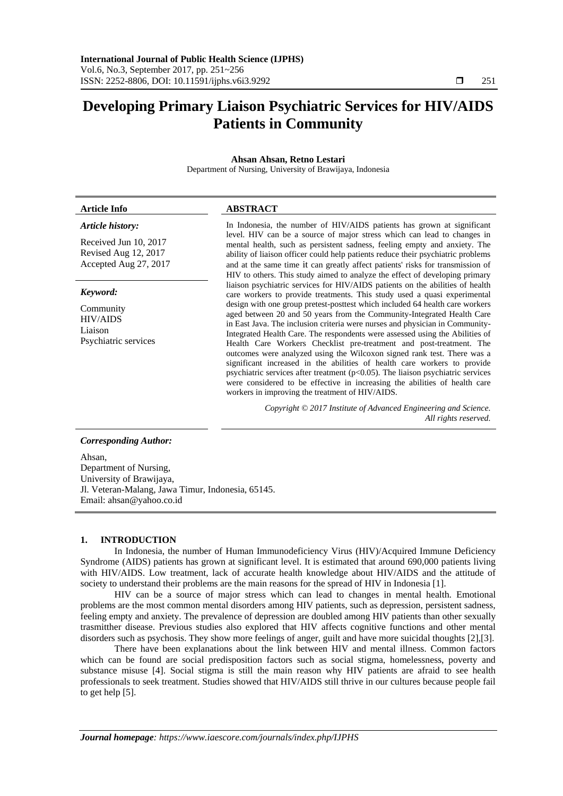# **Developing Primary Liaison Psychiatric Services for HIV/AIDS Patients in Community**

# **Ahsan Ahsan, Retno Lestari**

Department of Nursing, University of Brawijaya, Indonesia

#### **Article Info ABSTRACT** *Article history:* Received Jun 10, 2017 Revised Aug 12, 2017 Accepted Aug 27, 2017 In Indonesia, the number of HIV/AIDS patients has grown at significant level. HIV can be a source of major stress which can lead to changes in mental health, such as persistent sadness, feeling empty and anxiety. The ability of liaison officer could help patients reduce their psychiatric problems and at the same time it can greatly affect patients' risks for transmission of HIV to others. This study aimed to analyze the effect of developing primary liaison psychiatric services for HIV/AIDS patients on the abilities of health care workers to provide treatments. This study used a quasi experimental design with one group pretest-posttest which included 64 health care workers aged between 20 and 50 years from the Community-Integrated Health Care in East Java. The inclusion criteria were nurses and physician in Community-Integrated Health Care. The respondents were assessed using the Abilities of Health Care Workers Checklist pre-treatment and post-treatment. The outcomes were analyzed using the Wilcoxon signed rank test. There was a significant increased in the abilities of health care workers to provide psychiatric services after treatment (p<0.05). The liaison psychiatric services were considered to be effective in increasing the abilities of health care *Keyword:* Community HIV/AIDS Liaison Psychiatric services

workers in improving the treatment of HIV/AIDS.

*Copyright © 2017 Institute of Advanced Engineering and Science. All rights reserved.*

# *Corresponding Author:*

Ahsan, Department of Nursing, University of Brawijaya, Jl. Veteran-Malang, Jawa Timur, Indonesia, 65145. Email: [ahsan@yahoo.co.id](mailto:ahsan@yahoo.co.id)

# **1. INTRODUCTION**

In Indonesia, the number of Human Immunodeficiency Virus (HIV)/Acquired Immune Deficiency Syndrome (AIDS) patients has grown at significant level. It is estimated that around 690,000 patients living with HIV/AIDS. Low treatment, lack of accurate health knowledge about HIV/AIDS and the attitude of society to understand their problems are the main reasons for the spread of HIV in Indonesia [1].

HIV can be a source of major stress which can lead to changes in mental health. Emotional problems are the most common mental disorders among HIV patients, such as depression, persistent sadness, feeling empty and anxiety. The prevalence of depression are doubled among HIV patients than other sexually trasmitther disease. Previous studies also explored that HIV affects cognitive functions and other mental disorders such as psychosis. They show more feelings of anger, guilt and have more suicidal thoughts [2],[3].

There have been explanations about the link between HIV and mental illness. Common factors which can be found are social predisposition factors such as social stigma, homelessness, poverty and substance misuse [4]. Social stigma is still the main reason why HIV patients are afraid to see health professionals to seek treatment. Studies showed that HIV/AIDS still thrive in our cultures because people fail to get help [5].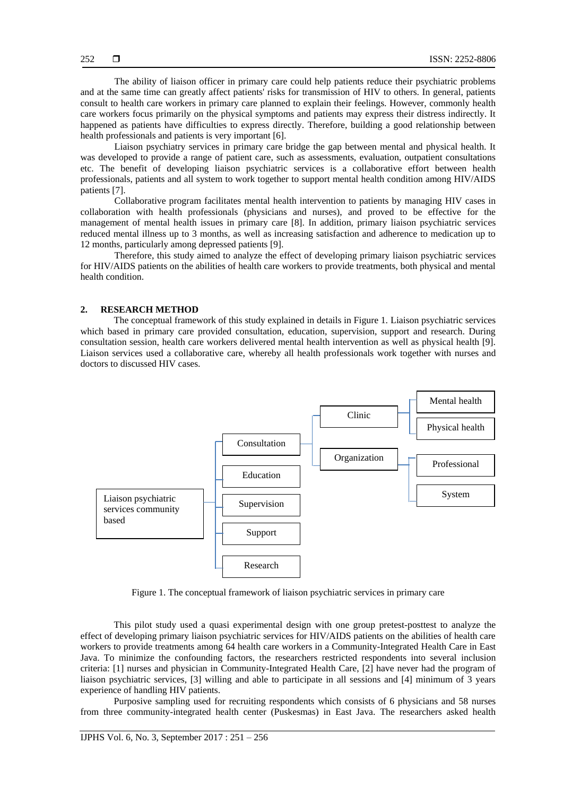The ability of liaison officer in primary care could help patients reduce their psychiatric problems and at the same time can greatly affect patients' risks for transmission of HIV to others. In general, patients consult to health care workers in primary care planned to explain their feelings. However, commonly health care workers focus primarily on the physical symptoms and patients may express their distress indirectly. It happened as patients have difficulties to express directly. Therefore, building a good relationship between health professionals and patients is very important [6].

Liaison psychiatry services in primary care bridge the gap between mental and physical health. It was developed to provide a range of patient care, such as assessments, evaluation, outpatient consultations etc. The benefit of developing liaison psychiatric services is a collaborative effort between health professionals, patients and all system to work together to support mental health condition among HIV/AIDS patients [7].

Collaborative program facilitates mental health intervention to patients by managing HIV cases in collaboration with health professionals (physicians and nurses), and proved to be effective for the management of mental health issues in primary care [8]. In addition, primary liaison psychiatric services reduced mental illness up to 3 months, as well as increasing satisfaction and adherence to medication up to 12 months, particularly among depressed patients [9].

Therefore, this study aimed to analyze the effect of developing primary liaison psychiatric services for HIV/AIDS patients on the abilities of health care workers to provide treatments, both physical and mental health condition.

# **2. RESEARCH METHOD**

The conceptual framework of this study explained in details in Figure 1. Liaison psychiatric services which based in primary care provided consultation, education, supervision, support and research. During consultation session, health care workers delivered mental health intervention as well as physical health [9]. Liaison services used a collaborative care, whereby all health professionals work together with nurses and doctors to discussed HIV cases.



Figure 1. The conceptual framework of liaison psychiatric services in primary care

This pilot study used a quasi experimental design with one group pretest-posttest to analyze the effect of developing primary liaison psychiatric services for HIV/AIDS patients on the abilities of health care workers to provide treatments among 64 health care workers in a Community-Integrated Health Care in East Java. To minimize the confounding factors, the researchers restricted respondents into several inclusion criteria: [1] nurses and physician in Community-Integrated Health Care, [2] have never had the program of liaison psychiatric services, [3] willing and able to participate in all sessions and [4] minimum of 3 years experience of handling HIV patients.

Purposive sampling used for recruiting respondents which consists of 6 physicians and 58 nurses from three community-integrated health center (Puskesmas) in East Java. The researchers asked health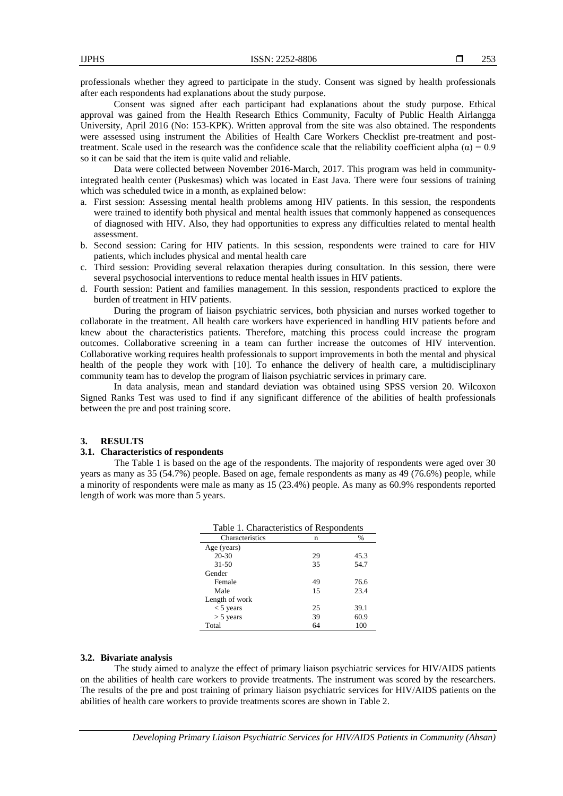professionals whether they agreed to participate in the study. Consent was signed by health professionals after each respondents had explanations about the study purpose.

Consent was signed after each participant had explanations about the study purpose. Ethical approval was gained from the Health Research Ethics Community, Faculty of Public Health Airlangga University, April 2016 (No: 153-KPK). Written approval from the site was also obtained. The respondents were assessed using instrument the Abilities of Health Care Workers Checklist pre-treatment and posttreatment. Scale used in the research was the confidence scale that the reliability coefficient alpha (α) =  $0.9$ so it can be said that the item is quite valid and reliable.

Data were collected between November 2016-March, 2017. This program was held in communityintegrated health center (Puskesmas) which was located in East Java. There were four sessions of training which was scheduled twice in a month, as explained below:

- a. First session: Assessing mental health problems among HIV patients. In this session, the respondents were trained to identify both physical and mental health issues that commonly happened as consequences of diagnosed with HIV. Also, they had opportunities to express any difficulties related to mental health assessment.
- b. Second session: Caring for HIV patients. In this session, respondents were trained to care for HIV patients, which includes physical and mental health care
- c. Third session: Providing several relaxation therapies during consultation. In this session, there were several psychosocial interventions to reduce mental health issues in HIV patients.
- d. Fourth session: Patient and families management. In this session, respondents practiced to explore the burden of treatment in HIV patients.

During the program of liaison psychiatric services, both physician and nurses worked together to collaborate in the treatment. All health care workers have experienced in handling HIV patients before and knew about the characteristics patients. Therefore, matching this process could increase the program outcomes. Collaborative screening in a team can further increase the outcomes of HIV intervention. Collaborative working requires health professionals to support improvements in both the mental and physical health of the people they work with [10]. To enhance the delivery of health care, a multidisciplinary community team has to develop the program of liaison psychiatric services in primary care.

In data analysis, mean and standard deviation was obtained using SPSS version 20. Wilcoxon Signed Ranks Test was used to find if any significant difference of the abilities of health professionals between the pre and post training score.

# **3. RESULTS**

# **3.1. Characteristics of respondents**

The Table 1 is based on the age of the respondents. The majority of respondents were aged over 30 years as many as 35 (54.7%) people. Based on age, female respondents as many as 49 (76.6%) people, while a minority of respondents were male as many as 15 (23.4%) people. As many as 60.9% respondents reported length of work was more than 5 years.

| Table 1. Characteristics of Respondents |    |               |
|-----------------------------------------|----|---------------|
| Characteristics                         | n  | $\frac{0}{0}$ |
| Age (years)                             |    |               |
| $20 - 30$                               | 29 | 45.3          |
| $31 - 50$                               | 35 | 54.7          |
| Gender                                  |    |               |
| Female                                  | 49 | 76.6          |
| Male                                    | 15 | 23.4          |
| Length of work                          |    |               |
| $<$ 5 years                             | 25 | 39.1          |
| $> 5$ years                             | 39 | 60.9          |
| Total                                   | 64 | 100           |

#### **3.2. Bivariate analysis**

The study aimed to analyze the effect of primary liaison psychiatric services for HIV/AIDS patients on the abilities of health care workers to provide treatments. The instrument was scored by the researchers. The results of the pre and post training of primary liaison psychiatric services for HIV/AIDS patients on the abilities of health care workers to provide treatments scores are shown in Table 2.

*Developing Primary Liaison Psychiatric Services for HIV/AIDS Patients in Community (Ahsan)*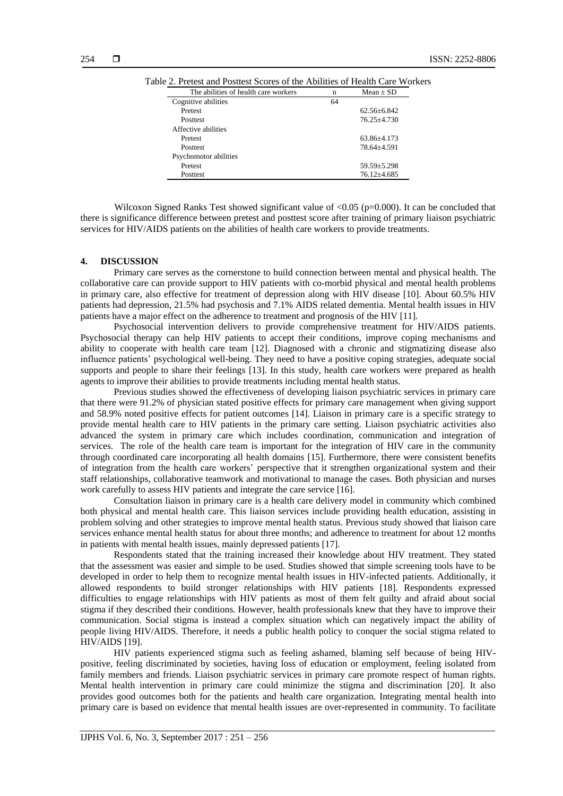| The abilities of health care workers | n  | $Mean + SD$       |
|--------------------------------------|----|-------------------|
| Cognitive abilities                  | 64 |                   |
| Pretest                              |    | $62.56 + 6.842$   |
| <b>Posttest</b>                      |    | $76.25 \pm 4.730$ |
| Affective abilities                  |    |                   |
| Pretest                              |    | 63.86+4.173       |
| <b>Posttest</b>                      |    | 78.64+4.591       |
| Psychomotor abilities                |    |                   |
| Pretest                              |    | $59.59 + 5.298$   |
| <b>Posttest</b>                      |    | $76.12 + 4.685$   |

Table 2. Pretest and Posttest Scores of the Abilities of Health Care Workers

Wilcoxon Signed Ranks Test showed significant value of  $\langle 0.05 \rangle$  (p=0.000). It can be concluded that there is significance difference between pretest and posttest score after training of primary liaison psychiatric services for HIV/AIDS patients on the abilities of health care workers to provide treatments.

# **4. DISCUSSION**

Primary care serves as the cornerstone to build connection between mental and physical health. The collaborative care can provide support to HIV patients with co-morbid physical and mental health problems in primary care, also effective for treatment of depression along with HIV disease [10]. About 60.5% HIV patients had depression, 21.5% had psychosis and 7.1% AIDS related dementia. Mental health issues in HIV patients have a major effect on the adherence to treatment and prognosis of the HIV [11].

Psychosocial intervention delivers to provide comprehensive treatment for HIV/AIDS patients. Psychosocial therapy can help HIV patients to accept their conditions, improve coping mechanisms and ability to cooperate with health care team [12]. Diagnosed with a chronic and stigmatizing disease also influence patients' psychological well-being. They need to have a positive coping strategies, adequate social supports and people to share their feelings [13]. In this study, health care workers were prepared as health agents to improve their abilities to provide treatments including mental health status.

Previous studies showed the effectiveness of developing liaison psychiatric services in primary care that there were 91.2% of physician stated positive effects for primary care management when giving support and 58.9% noted positive effects for patient outcomes [14]. Liaison in primary care is a specific strategy to provide mental health care to HIV patients in the primary care setting. Liaison psychiatric activities also advanced the system in primary care which includes coordination, communication and integration of services. The role of the health care team is important for the integration of HIV care in the community through coordinated care incorporating all health domains [15]. Furthermore, there were consistent benefits of integration from the health care workers' perspective that it strengthen organizational system and their staff relationships, collaborative teamwork and motivational to manage the cases. Both physician and nurses work carefully to assess HIV patients and integrate the care service [16].

Consultation liaison in primary care is a health care delivery model in community which combined both physical and mental health care. This liaison services include providing health education, assisting in problem solving and other strategies to improve mental health status. Previous study showed that liaison care services enhance mental health status for about three months; and adherence to treatment for about 12 months in patients with mental health issues, mainly depressed patients [17].

Respondents stated that the training increased their knowledge about HIV treatment. They stated that the assessment was easier and simple to be used. Studies showed that simple screening tools have to be developed in order to help them to recognize mental health issues in HIV-infected patients. Additionally, it allowed respondents to build stronger relationships with HIV patients [18]. Respondents expressed difficulties to engage relationships with HIV patients as most of them felt guilty and afraid about social stigma if they described their conditions. However, health professionals knew that they have to improve their communication. Social stigma is instead a complex situation which can negatively impact the ability of people living HIV/AIDS. Therefore, it needs a public health policy to conquer the social stigma related to HIV/AIDS [19].

HIV patients experienced stigma such as feeling ashamed, blaming self because of being HIVpositive, feeling discriminated by societies, having loss of education or employment, feeling isolated from family members and friends. Liaison psychiatric services in primary care promote respect of human rights. Mental health intervention in primary care could minimize the stigma and discrimination [20]. It also provides good outcomes both for the patients and health care organization. Integrating mental health into primary care is based on evidence that mental health issues are over-represented in community. To facilitate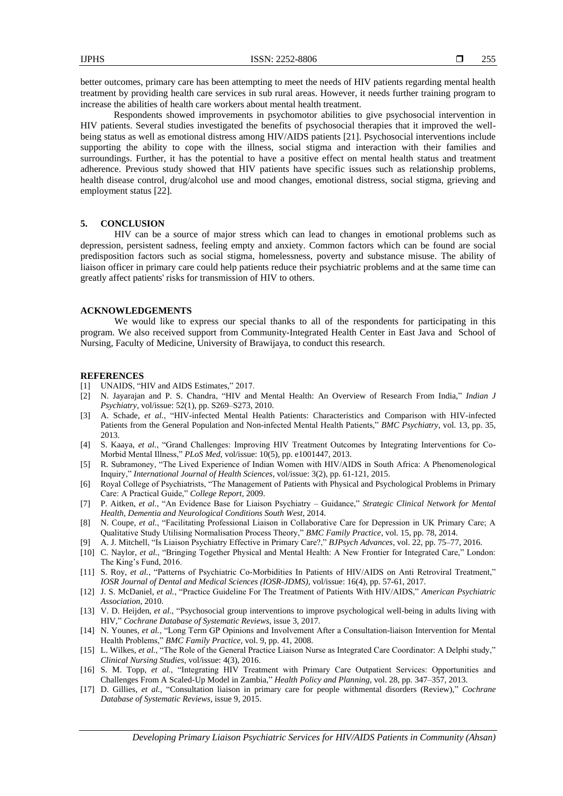better outcomes, primary care has been attempting to meet the needs of HIV patients regarding mental health treatment by providing health care services in sub rural areas. However, it needs further training program to increase the abilities of health care workers about mental health treatment.

Respondents showed improvements in psychomotor abilities to give psychosocial intervention in HIV patients. Several studies investigated the benefits of psychosocial therapies that it improved the wellbeing status as well as emotional distress among HIV/AIDS patients [21]. Psychosocial interventions include supporting the ability to cope with the illness, social stigma and interaction with their families and surroundings. Further, it has the potential to have a positive effect on mental health status and treatment adherence. Previous study showed that HIV patients have specific issues such as relationship problems, health disease control, drug/alcohol use and mood changes, emotional distress, social stigma, grieving and employment status [22].

# **5. CONCLUSION**

HIV can be a source of major stress which can lead to changes in emotional problems such as depression, persistent sadness, feeling empty and anxiety. Common factors which can be found are social predisposition factors such as social stigma, homelessness, poverty and substance misuse. The ability of liaison officer in primary care could help patients reduce their psychiatric problems and at the same time can greatly affect patients' risks for transmission of HIV to others.

## **ACKNOWLEDGEMENTS**

We would like to express our special thanks to all of the respondents for participating in this program. We also received support from Community-Integrated Health Center in East Java and School of Nursing, Faculty of Medicine, University of Brawijaya, to conduct this research.

#### **REFERENCES**

- [1] UNAIDS, "HIV and AIDS Estimates," 2017.
- [2] N. Jayarajan and P. S. Chandra, "HIV and Mental Health: An Overview of Research From India," *Indian J Psychiatry*, vol/issue: 52(1), pp. S269–S273, 2010.
- [3] A. Schade, *et al.*, "HIV-infected Mental Health Patients: Characteristics and Comparison with HIV-infected Patients from the General Population and Non-infected Mental Health Patients," *BMC Psychiatry*, vol. 13, pp. 35, 2013.
- [4] S. Kaaya, *et al.*, "Grand Challenges: Improving HIV Treatment Outcomes by Integrating Interventions for Co-Morbid Mental Illness," *PLoS Med,* vol/issue: 10(5), pp. e1001447, 2013.
- [5] R. Subramoney, "The Lived Experience of Indian Women with HIV/AIDS in South Africa: A Phenomenological Inquiry," *International Journal of Health Sciences*, vol/issue: 3(2), pp. 61-121, 2015.
- [6] Royal College of Psychiatrists, "The Management of Patients with Physical and Psychological Problems in Primary Care: A Practical Guide," *College Report*, 2009.
- [7] P. Aitken, *et al.*, "An Evidence Base for Liaison Psychiatry Guidance," *Strategic Clinical Network for Mental Health, Dementia and Neurological Conditions South West*, 2014.
- [8] N. Coupe, *et al.*, "Facilitating Professional Liaison in Collaborative Care for Depression in UK Primary Care; A Qualitative Study Utilising Normalisation Process Theory," *BMC Family Practice*, vol. 15, pp. 78, 2014.
- [9] A. J. Mitchell, "Is Liaison Psychiatry Effective in Primary Care?," *BJPsych Advances*, vol. 22, pp. 75–77, 2016.
- [10] C. Naylor, *et al.*, "Bringing Together Physical and Mental Health: A New Frontier for Integrated Care," London: The King's Fund, 2016.
- [11] S. Roy, *et al.*, "Patterns of Psychiatric Co-Morbidities In Patients of HIV/AIDS on Anti Retroviral Treatment," *IOSR Journal of Dental and Medical Sciences (IOSR-JDMS),* vol/issue: 16(4), pp. 57-61, 2017.
- [12] J. S. McDaniel, *et al.*, "Practice Guideline For The Treatment of Patients With HIV/AIDS," *American Psychiatric Association*, 2010.
- [13] V. D. Heijden, *et al*., "Psychosocial group interventions to improve psychological well-being in adults living with HIV," *Cochrane Database of Systematic Reviews*, issue 3, 2017.
- [14] N. Younes, *et al.*, "Long Term GP Opinions and Involvement After a Consultation-liaison Intervention for Mental Health Problems," *BMC Family Practice*, vol. 9, pp. 41, 2008.
- [15] L. Wilkes, *et al.*, "The Role of the General Practice Liaison Nurse as Integrated Care Coordinator: A Delphi study," *Clinical Nursing Studies*, vol/issue: 4(3), 2016.
- [16] S. M. Topp, *et al.*, "Integrating HIV Treatment with Primary Care Outpatient Services: Opportunities and Challenges From A Scaled-Up Model in Zambia," *Health Policy and Planning*, vol. 28, pp. 347–357, 2013.
- [17] D. Gillies, *et al.*, "Consultation liaison in primary care for people withmental disorders (Review)," *Cochrane Database of Systematic Reviews*, issue 9, 2015.

*Developing Primary Liaison Psychiatric Services for HIV/AIDS Patients in Community (Ahsan)*